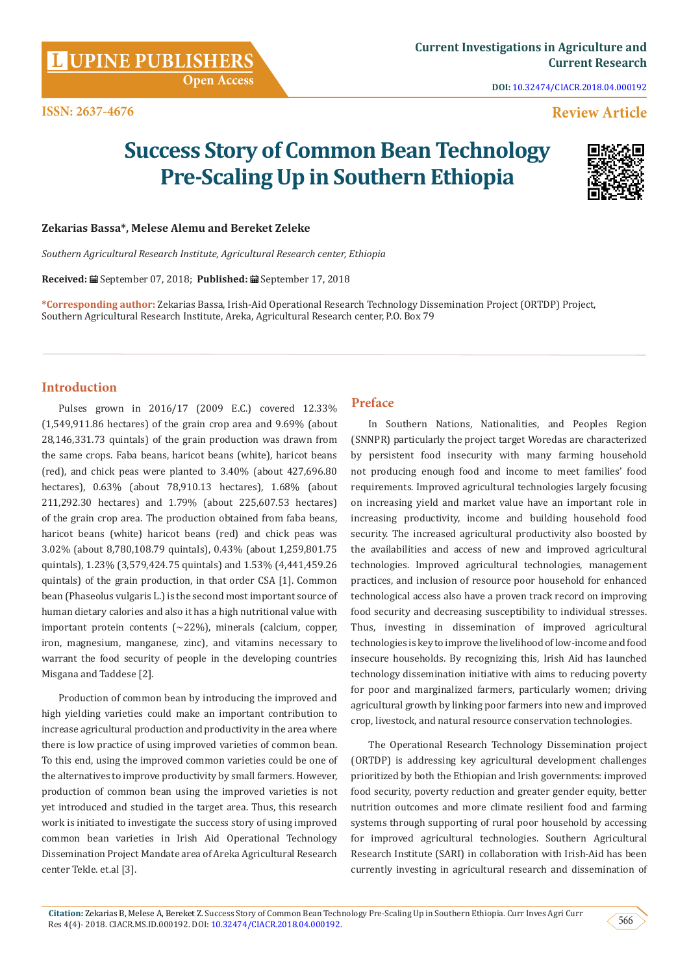**Citation:** Zekarias B, Melese A, Bereket Z. Success Story of Common Bean Technology Pre-Scaling Up in Southern Ethiopia. Curr Inves Agri Curr Res 4(4)- 2018. CIACR.MS.ID.000192. DOI: [10.32474/CIACR.2018.04.000192](http://dx.doi.org/10.32474/CIACR.2018.04.000192).

# **Open Access**

**ISSN: 2637-4676**

**DOI:** [10.32474/CIACR.2018.04.000192](http://dx.doi.org/10.32474/CIACR.2018.04.000192)

### **Review Article**

## **Success Story of Common Bean Technology Pre-Scaling Up in Southern Ethiopia**

#### **Zekarias Bassa\*, Melese Alemu and Bereket Zeleke**

*Southern Agricultural Research Institute, Agricultural Research center, Ethiopia*

**Received:** September 07, 2018; **Published:** September 17, 2018

**\*Corresponding author:** Zekarias Bassa, Irish-Aid Operational Research Technology Dissemination Project (ORTDP) Project, Southern Agricultural Research Institute, Areka, Agricultural Research center, P.O. Box 79

#### **Introduction**

Pulses grown in 2016/17 (2009 E.C.) covered 12.33% (1,549,911.86 hectares) of the grain crop area and 9.69% (about 28,146,331.73 quintals) of the grain production was drawn from the same crops. Faba beans, haricot beans (white), haricot beans (red), and chick peas were planted to 3.40% (about 427,696.80 hectares), 0.63% (about 78,910.13 hectares), 1.68% (about 211,292.30 hectares) and 1.79% (about 225,607.53 hectares) of the grain crop area. The production obtained from faba beans, haricot beans (white) haricot beans (red) and chick peas was 3.02% (about 8,780,108.79 quintals), 0.43% (about 1,259,801.75 quintals), 1.23% (3,579,424.75 quintals) and 1.53% (4,441,459.26 quintals) of the grain production, in that order CSA [1]. Common bean (Phaseolus vulgaris L.) is the second most important source of human dietary calories and also it has a high nutritional value with important protein contents (~22%), minerals (calcium, copper, iron, magnesium, manganese, zinc), and vitamins necessary to warrant the food security of people in the developing countries Misgana and Taddese [2].

Production of common bean by introducing the improved and high yielding varieties could make an important contribution to increase agricultural production and productivity in the area where there is low practice of using improved varieties of common bean. To this end, using the improved common varieties could be one of the alternatives to improve productivity by small farmers. However, production of common bean using the improved varieties is not yet introduced and studied in the target area. Thus, this research work is initiated to investigate the success story of using improved common bean varieties in Irish Aid Operational Technology Dissemination Project Mandate area of Areka Agricultural Research center Tekle. et.al [3].

#### **Preface**

In Southern Nations, Nationalities, and Peoples Region (SNNPR) particularly the project target Woredas are characterized by persistent food insecurity with many farming household not producing enough food and income to meet families' food requirements. Improved agricultural technologies largely focusing on increasing yield and market value have an important role in increasing productivity, income and building household food security. The increased agricultural productivity also boosted by the availabilities and access of new and improved agricultural technologies. Improved agricultural technologies, management practices, and inclusion of resource poor household for enhanced technological access also have a proven track record on improving food security and decreasing susceptibility to individual stresses. Thus, investing in dissemination of improved agricultural technologies is key to improve the livelihood of low-income and food insecure households. By recognizing this, Irish Aid has launched technology dissemination initiative with aims to reducing poverty for poor and marginalized farmers, particularly women; driving agricultural growth by linking poor farmers into new and improved crop, livestock, and natural resource conservation technologies.

The Operational Research Technology Dissemination project (ORTDP) is addressing key agricultural development challenges prioritized by both the Ethiopian and Irish governments: improved food security, poverty reduction and greater gender equity, better nutrition outcomes and more climate resilient food and farming systems through supporting of rural poor household by accessing for improved agricultural technologies. Southern Agricultural Research Institute (SARI) in collaboration with Irish-Aid has been currently investing in agricultural research and dissemination of

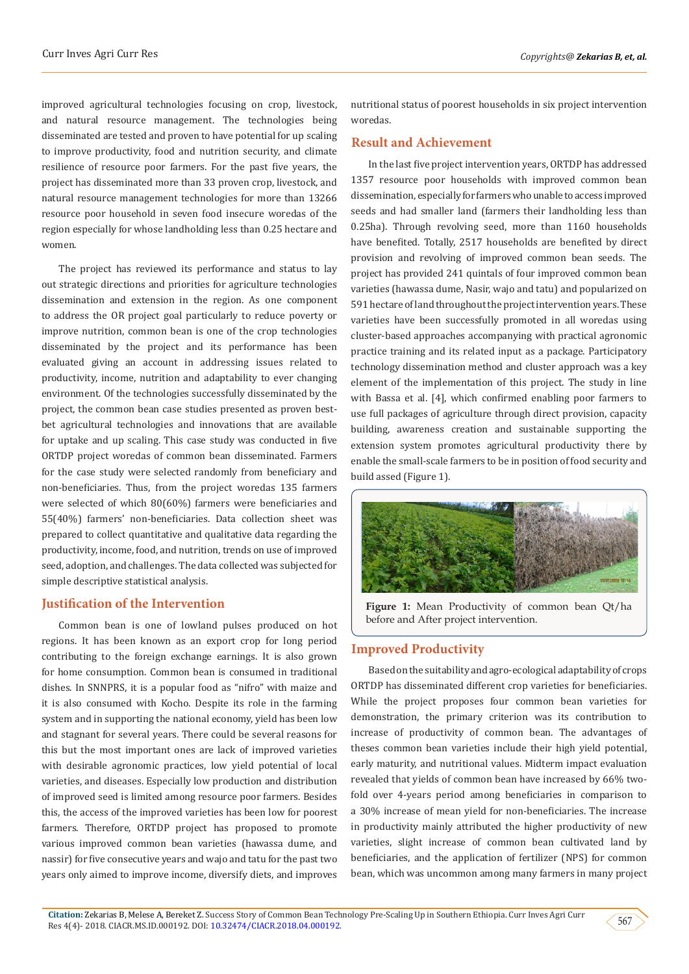improved agricultural technologies focusing on crop, livestock, and natural resource management. The technologies being disseminated are tested and proven to have potential for up scaling to improve productivity, food and nutrition security, and climate resilience of resource poor farmers. For the past five years, the project has disseminated more than 33 proven crop, livestock, and natural resource management technologies for more than 13266 resource poor household in seven food insecure woredas of the region especially for whose landholding less than 0.25 hectare and women.

The project has reviewed its performance and status to lay out strategic directions and priorities for agriculture technologies dissemination and extension in the region. As one component to address the OR project goal particularly to reduce poverty or improve nutrition, common bean is one of the crop technologies disseminated by the project and its performance has been evaluated giving an account in addressing issues related to productivity, income, nutrition and adaptability to ever changing environment. Of the technologies successfully disseminated by the project, the common bean case studies presented as proven bestbet agricultural technologies and innovations that are available for uptake and up scaling. This case study was conducted in five ORTDP project woredas of common bean disseminated. Farmers for the case study were selected randomly from beneficiary and non-beneficiaries. Thus, from the project woredas 135 farmers were selected of which 80(60%) farmers were beneficiaries and 55(40%) farmers' non-beneficiaries. Data collection sheet was prepared to collect quantitative and qualitative data regarding the productivity, income, food, and nutrition, trends on use of improved seed, adoption, and challenges. The data collected was subjected for simple descriptive statistical analysis.

#### **Justification of the Intervention**

Common bean is one of lowland pulses produced on hot regions. It has been known as an export crop for long period contributing to the foreign exchange earnings. It is also grown for home consumption. Common bean is consumed in traditional dishes. In SNNPRS, it is a popular food as "nifro" with maize and it is also consumed with Kocho. Despite its role in the farming system and in supporting the national economy, yield has been low and stagnant for several years. There could be several reasons for this but the most important ones are lack of improved varieties with desirable agronomic practices, low yield potential of local varieties, and diseases. Especially low production and distribution of improved seed is limited among resource poor farmers. Besides this, the access of the improved varieties has been low for poorest farmers. Therefore, ORTDP project has proposed to promote various improved common bean varieties (hawassa dume, and nassir) for five consecutive years and wajo and tatu for the past two years only aimed to improve income, diversify diets, and improves

nutritional status of poorest households in six project intervention woredas.

#### **Result and Achievement**

In the last five project intervention years, ORTDP has addressed 1357 resource poor households with improved common bean dissemination, especially for farmers who unable to access improved seeds and had smaller land (farmers their landholding less than 0.25ha). Through revolving seed, more than 1160 households have benefited. Totally, 2517 households are benefited by direct provision and revolving of improved common bean seeds. The project has provided 241 quintals of four improved common bean varieties (hawassa dume, Nasir, wajo and tatu) and popularized on 591 hectare of land throughout the project intervention years. These varieties have been successfully promoted in all woredas using cluster-based approaches accompanying with practical agronomic practice training and its related input as a package. Participatory technology dissemination method and cluster approach was a key element of the implementation of this project. The study in line with Bassa et al. [4], which confirmed enabling poor farmers to use full packages of agriculture through direct provision, capacity building, awareness creation and sustainable supporting the extension system promotes agricultural productivity there by enable the small-scale farmers to be in position of food security and build assed (Figure 1).



**Figure 1:** Mean Productivity of common bean Qt/ha before and After project intervention.

#### **Improved Productivity**

Based on the suitability and agro-ecological adaptability of crops ORTDP has disseminated different crop varieties for beneficiaries. While the project proposes four common bean varieties for demonstration, the primary criterion was its contribution to increase of productivity of common bean. The advantages of theses common bean varieties include their high yield potential, early maturity, and nutritional values. Midterm impact evaluation revealed that yields of common bean have increased by 66% twofold over 4-years period among beneficiaries in comparison to a 30% increase of mean yield for non-beneficiaries. The increase in productivity mainly attributed the higher productivity of new varieties, slight increase of common bean cultivated land by beneficiaries, and the application of fertilizer (NPS) for common bean, which was uncommon among many farmers in many project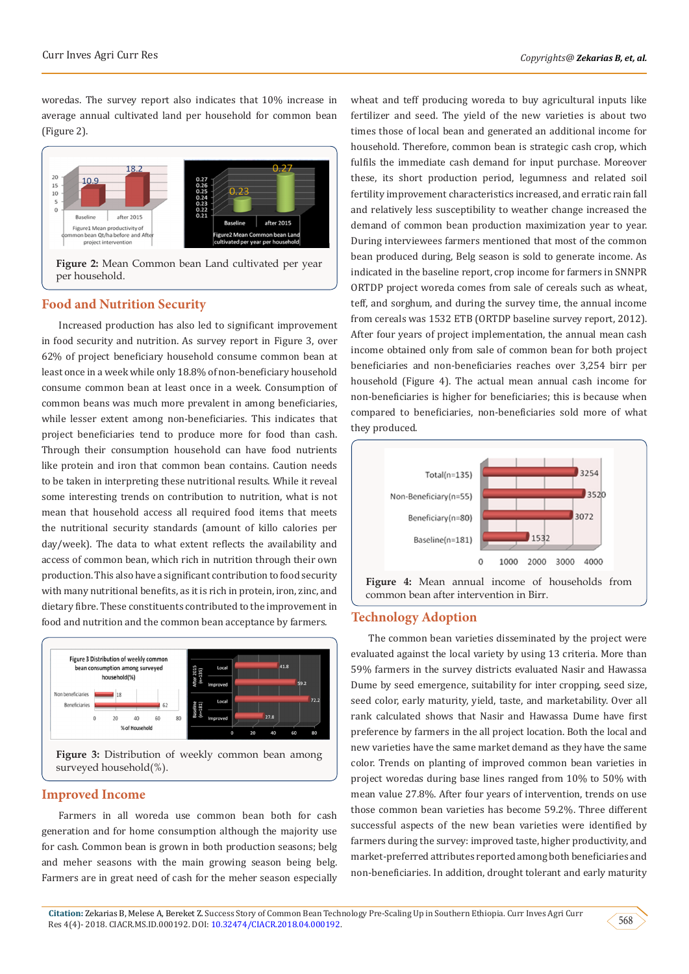woredas. The survey report also indicates that 10% increase in average annual cultivated land per household for common bean (Figure 2).



**Figure 2:** Mean Common bean Land cultivated per year per household.

#### **Food and Nutrition Security**

Increased production has also led to significant improvement in food security and nutrition. As survey report in Figure 3, over 62% of project beneficiary household consume common bean at least once in a week while only 18.8% of non-beneficiary household consume common bean at least once in a week. Consumption of common beans was much more prevalent in among beneficiaries, while lesser extent among non-beneficiaries. This indicates that project beneficiaries tend to produce more for food than cash. Through their consumption household can have food nutrients like protein and iron that common bean contains. Caution needs to be taken in interpreting these nutritional results. While it reveal some interesting trends on contribution to nutrition, what is not mean that household access all required food items that meets the nutritional security standards (amount of killo calories per day/week). The data to what extent reflects the availability and access of common bean, which rich in nutrition through their own production. This also have a significant contribution to food security with many nutritional benefits, as it is rich in protein, iron, zinc, and dietary fibre. These constituents contributed to the improvement in food and nutrition and the common bean acceptance by farmers.



**Figure 3:** Distribution of weekly common bean among surveyed household(%).

#### **Improved Income**

Farmers in all woreda use common bean both for cash generation and for home consumption although the majority use for cash. Common bean is grown in both production seasons; belg and meher seasons with the main growing season being belg. Farmers are in great need of cash for the meher season especially

wheat and teff producing woreda to buy agricultural inputs like fertilizer and seed. The yield of the new varieties is about two times those of local bean and generated an additional income for household. Therefore, common bean is strategic cash crop, which fulfils the immediate cash demand for input purchase. Moreover these, its short production period, legumness and related soil fertility improvement characteristics increased, and erratic rain fall and relatively less susceptibility to weather change increased the demand of common bean production maximization year to year. During interviewees farmers mentioned that most of the common bean produced during, Belg season is sold to generate income. As indicated in the baseline report, crop income for farmers in SNNPR ORTDP project woreda comes from sale of cereals such as wheat, teff, and sorghum, and during the survey time, the annual income from cereals was 1532 ETB (ORTDP baseline survey report, 2012). After four years of project implementation, the annual mean cash income obtained only from sale of common bean for both project beneficiaries and non-beneficiaries reaches over 3,254 birr per household (Figure 4). The actual mean annual cash income for non-beneficiaries is higher for beneficiaries; this is because when compared to beneficiaries, non-beneficiaries sold more of what they produced.



#### **Technology Adoption**

The common bean varieties disseminated by the project were evaluated against the local variety by using 13 criteria. More than 59% farmers in the survey districts evaluated Nasir and Hawassa Dume by seed emergence, suitability for inter cropping, seed size, seed color, early maturity, yield, taste, and marketability. Over all rank calculated shows that Nasir and Hawassa Dume have first preference by farmers in the all project location. Both the local and new varieties have the same market demand as they have the same color. Trends on planting of improved common bean varieties in project woredas during base lines ranged from 10% to 50% with mean value 27.8%. After four years of intervention, trends on use those common bean varieties has become 59.2%. Three different successful aspects of the new bean varieties were identified by farmers during the survey: improved taste, higher productivity, and market-preferred attributes reported among both beneficiaries and non-beneficiaries. In addition, drought tolerant and early maturity

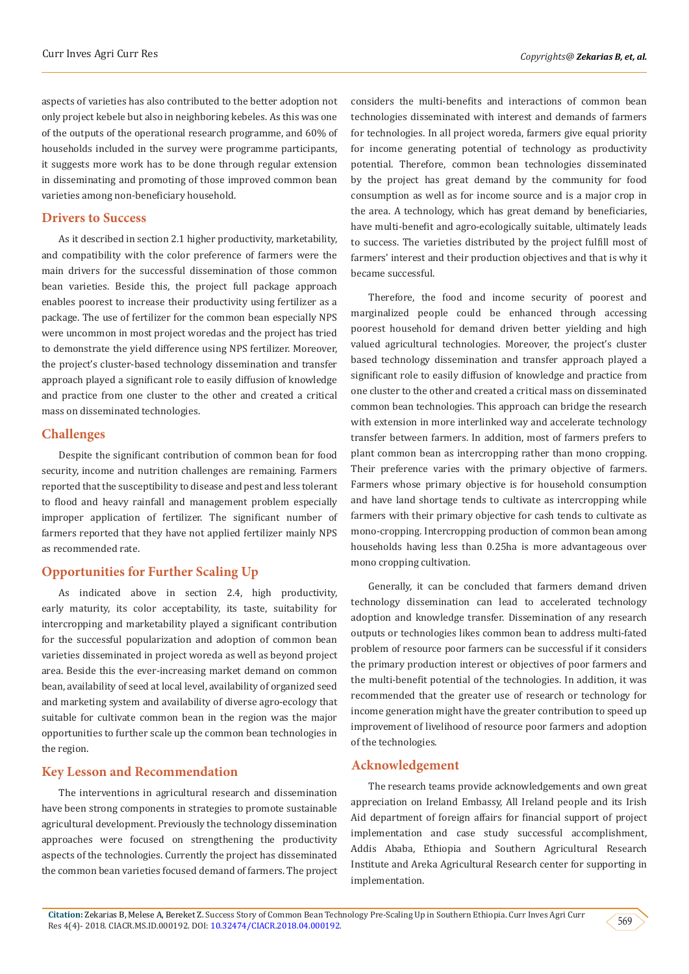aspects of varieties has also contributed to the better adoption not only project kebele but also in neighboring kebeles. As this was one of the outputs of the operational research programme, and 60% of households included in the survey were programme participants, it suggests more work has to be done through regular extension in disseminating and promoting of those improved common bean varieties among non-beneficiary household.

#### **Drivers to Success**

As it described in section 2.1 higher productivity, marketability, and compatibility with the color preference of farmers were the main drivers for the successful dissemination of those common bean varieties. Beside this, the project full package approach enables poorest to increase their productivity using fertilizer as a package. The use of fertilizer for the common bean especially NPS were uncommon in most project woredas and the project has tried to demonstrate the yield difference using NPS fertilizer. Moreover, the project's cluster-based technology dissemination and transfer approach played a significant role to easily diffusion of knowledge and practice from one cluster to the other and created a critical mass on disseminated technologies.

#### **Challenges**

Despite the significant contribution of common bean for food security, income and nutrition challenges are remaining. Farmers reported that the susceptibility to disease and pest and less tolerant to flood and heavy rainfall and management problem especially improper application of fertilizer. The significant number of farmers reported that they have not applied fertilizer mainly NPS as recommended rate.

#### **Opportunities for Further Scaling Up**

As indicated above in section 2.4, high productivity, early maturity, its color acceptability, its taste, suitability for intercropping and marketability played a significant contribution for the successful popularization and adoption of common bean varieties disseminated in project woreda as well as beyond project area. Beside this the ever-increasing market demand on common bean, availability of seed at local level, availability of organized seed and marketing system and availability of diverse agro-ecology that suitable for cultivate common bean in the region was the major opportunities to further scale up the common bean technologies in the region.

#### **Key Lesson and Recommendation**

The interventions in agricultural research and dissemination have been strong components in strategies to promote sustainable agricultural development. Previously the technology dissemination approaches were focused on strengthening the productivity aspects of the technologies. Currently the project has disseminated the common bean varieties focused demand of farmers. The project

considers the multi-benefits and interactions of common bean technologies disseminated with interest and demands of farmers for technologies. In all project woreda, farmers give equal priority for income generating potential of technology as productivity potential. Therefore, common bean technologies disseminated by the project has great demand by the community for food consumption as well as for income source and is a major crop in the area. A technology, which has great demand by beneficiaries, have multi-benefit and agro-ecologically suitable, ultimately leads to success. The varieties distributed by the project fulfill most of farmers' interest and their production objectives and that is why it became successful.

Therefore, the food and income security of poorest and marginalized people could be enhanced through accessing poorest household for demand driven better yielding and high valued agricultural technologies. Moreover, the project's cluster based technology dissemination and transfer approach played a significant role to easily diffusion of knowledge and practice from one cluster to the other and created a critical mass on disseminated common bean technologies. This approach can bridge the research with extension in more interlinked way and accelerate technology transfer between farmers. In addition, most of farmers prefers to plant common bean as intercropping rather than mono cropping. Their preference varies with the primary objective of farmers. Farmers whose primary objective is for household consumption and have land shortage tends to cultivate as intercropping while farmers with their primary objective for cash tends to cultivate as mono-cropping. Intercropping production of common bean among households having less than 0.25ha is more advantageous over mono cropping cultivation.

Generally, it can be concluded that farmers demand driven technology dissemination can lead to accelerated technology adoption and knowledge transfer. Dissemination of any research outputs or technologies likes common bean to address multi-fated problem of resource poor farmers can be successful if it considers the primary production interest or objectives of poor farmers and the multi-benefit potential of the technologies. In addition, it was recommended that the greater use of research or technology for income generation might have the greater contribution to speed up improvement of livelihood of resource poor farmers and adoption of the technologies.

#### **Acknowledgement**

The research teams provide acknowledgements and own great appreciation on Ireland Embassy, All Ireland people and its Irish Aid department of foreign affairs for financial support of project implementation and case study successful accomplishment, Addis Ababa, Ethiopia and Southern Agricultural Research Institute and Areka Agricultural Research center for supporting in implementation.